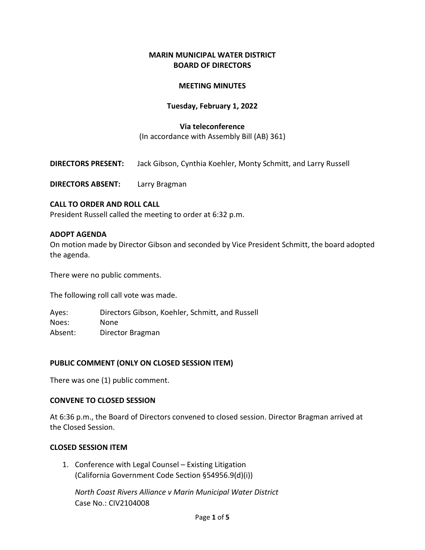### **MARIN MUNICIPAL WATER DISTRICT BOARD OF DIRECTORS**

### **MEETING MINUTES**

### **Tuesday, February 1, 2022**

#### **Via teleconference**

(In accordance with Assembly Bill (AB) 361)

**DIRECTORS PRESENT:** Jack Gibson, Cynthia Koehler, Monty Schmitt, and Larry Russell

**DIRECTORS ABSENT:** Larry Bragman

#### **CALL TO ORDER AND ROLL CALL**

President Russell called the meeting to order at 6:32 p.m.

#### **ADOPT AGENDA**

On motion made by Director Gibson and seconded by Vice President Schmitt, the board adopted the agenda.

There were no public comments.

The following roll call vote was made.

Ayes: Directors Gibson, Koehler, Schmitt, and Russell Noes: None Absent: Director Bragman

#### **PUBLIC COMMENT (ONLY ON CLOSED SESSION ITEM)**

There was one (1) public comment.

#### **CONVENE TO CLOSED SESSION**

At 6:36 p.m., the Board of Directors convened to closed session. Director Bragman arrived at the Closed Session.

#### **CLOSED SESSION ITEM**

1. Conference with Legal Counsel – Existing Litigation (California Government Code Section §54956.9(d)(i))

*North Coast Rivers Alliance v Marin Municipal Water District* Case No.: CIV2104008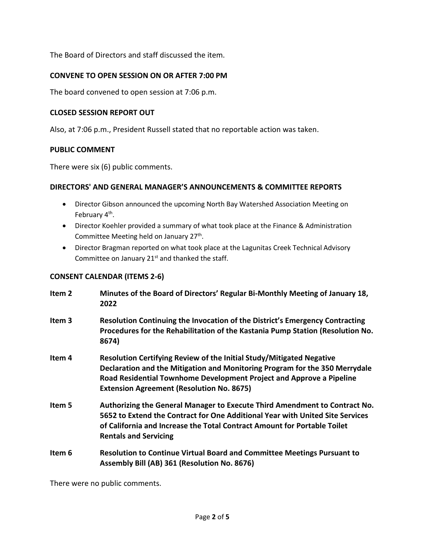The Board of Directors and staff discussed the item.

### **CONVENE TO OPEN SESSION ON OR AFTER 7:00 PM**

The board convened to open session at 7:06 p.m.

### **CLOSED SESSION REPORT OUT**

Also, at 7:06 p.m., President Russell stated that no reportable action was taken.

#### **PUBLIC COMMENT**

There were six (6) public comments.

#### **DIRECTORS' AND GENERAL MANAGER'S ANNOUNCEMENTS & COMMITTEE REPORTS**

- Director Gibson announced the upcoming North Bay Watershed Association Meeting on February 4<sup>th</sup>.
- Director Koehler provided a summary of what took place at the Finance & Administration Committee Meeting held on January 27<sup>th</sup>.
- Director Bragman reported on what took place at the Lagunitas Creek Technical Advisory Committee on January  $21^{st}$  and thanked the staff.

### **CONSENT CALENDAR (ITEMS 2-6)**

| Item 2 | Minutes of the Board of Directors' Regular Bi-Monthly Meeting of January 18,<br>2022                                                                                                                                                                                            |
|--------|---------------------------------------------------------------------------------------------------------------------------------------------------------------------------------------------------------------------------------------------------------------------------------|
| Item 3 | Resolution Continuing the Invocation of the District's Emergency Contracting<br>Procedures for the Rehabilitation of the Kastania Pump Station (Resolution No.<br>8674)                                                                                                         |
| Item 4 | Resolution Certifying Review of the Initial Study/Mitigated Negative<br>Declaration and the Mitigation and Monitoring Program for the 350 Merrydale<br>Road Residential Townhome Development Project and Approve a Pipeline<br><b>Extension Agreement (Resolution No. 8675)</b> |
| Item 5 | Authorizing the General Manager to Execute Third Amendment to Contract No.<br>5652 to Extend the Contract for One Additional Year with United Site Services<br>of California and Increase the Total Contract Amount for Portable Toilet<br><b>Rentals and Servicing</b>         |
| Item 6 | Resolution to Continue Virtual Board and Committee Meetings Pursuant to<br>Assembly Bill (AB) 361 (Resolution No. 8676)                                                                                                                                                         |

There were no public comments.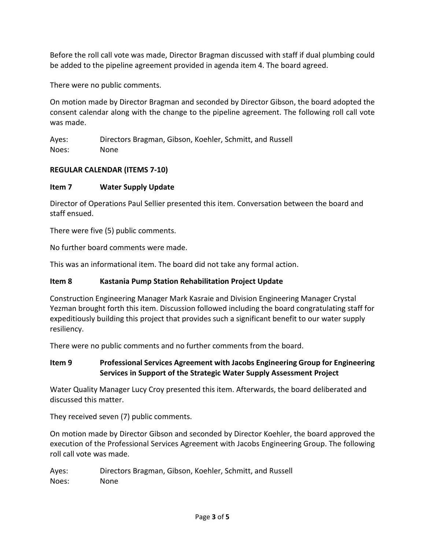Before the roll call vote was made, Director Bragman discussed with staff if dual plumbing could be added to the pipeline agreement provided in agenda item 4. The board agreed.

There were no public comments.

On motion made by Director Bragman and seconded by Director Gibson, the board adopted the consent calendar along with the change to the pipeline agreement. The following roll call vote was made.

Ayes: Directors Bragman, Gibson, Koehler, Schmitt, and Russell Noes: None

# **REGULAR CALENDAR (ITEMS 7-10)**

# **Item 7 Water Supply Update**

Director of Operations Paul Sellier presented this item. Conversation between the board and staff ensued.

There were five (5) public comments.

No further board comments were made.

This was an informational item. The board did not take any formal action.

# **Item 8 Kastania Pump Station Rehabilitation Project Update**

Construction Engineering Manager Mark Kasraie and Division Engineering Manager Crystal Yezman brought forth this item. Discussion followed including the board congratulating staff for expeditiously building this project that provides such a significant benefit to our water supply resiliency.

There were no public comments and no further comments from the board.

# **Item 9 Professional Services Agreement with Jacobs Engineering Group for Engineering Services in Support of the Strategic Water Supply Assessment Project**

Water Quality Manager Lucy Croy presented this item. Afterwards, the board deliberated and discussed this matter.

They received seven (7) public comments.

On motion made by Director Gibson and seconded by Director Koehler, the board approved the execution of the Professional Services Agreement with Jacobs Engineering Group. The following roll call vote was made.

Ayes: Directors Bragman, Gibson, Koehler, Schmitt, and Russell Noes: None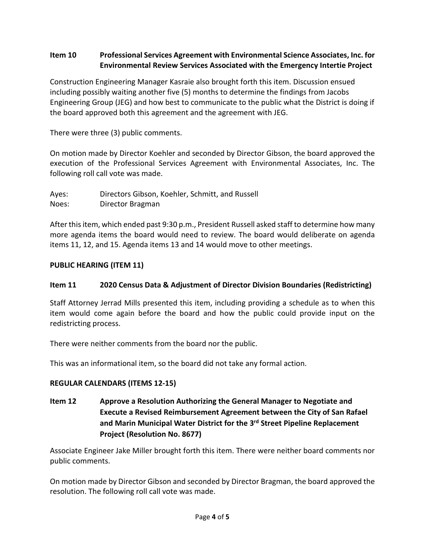# **Item 10 Professional Services Agreement with Environmental Science Associates, Inc. for Environmental Review Services Associated with the Emergency Intertie Project**

Construction Engineering Manager Kasraie also brought forth this item. Discussion ensued including possibly waiting another five (5) months to determine the findings from Jacobs Engineering Group (JEG) and how best to communicate to the public what the District is doing if the board approved both this agreement and the agreement with JEG.

There were three (3) public comments.

On motion made by Director Koehler and seconded by Director Gibson, the board approved the execution of the Professional Services Agreement with Environmental Associates, Inc. The following roll call vote was made.

Ayes: Directors Gibson, Koehler, Schmitt, and Russell Noes: Director Bragman

After this item, which ended past 9:30 p.m., President Russell asked staff to determine how many more agenda items the board would need to review. The board would deliberate on agenda items 11, 12, and 15. Agenda items 13 and 14 would move to other meetings.

## **PUBLIC HEARING (ITEM 11)**

# **Item 11 2020 Census Data & Adjustment of Director Division Boundaries (Redistricting)**

Staff Attorney Jerrad Mills presented this item, including providing a schedule as to when this item would come again before the board and how the public could provide input on the redistricting process.

There were neither comments from the board nor the public.

This was an informational item, so the board did not take any formal action.

# **REGULAR CALENDARS (ITEMS 12-15)**

**Item 12 Approve a Resolution Authorizing the General Manager to Negotiate and Execute a Revised Reimbursement Agreement between the City of San Rafael and Marin Municipal Water District for the 3rd Street Pipeline Replacement Project (Resolution No. 8677)**

Associate Engineer Jake Miller brought forth this item. There were neither board comments nor public comments.

On motion made by Director Gibson and seconded by Director Bragman, the board approved the resolution. The following roll call vote was made.